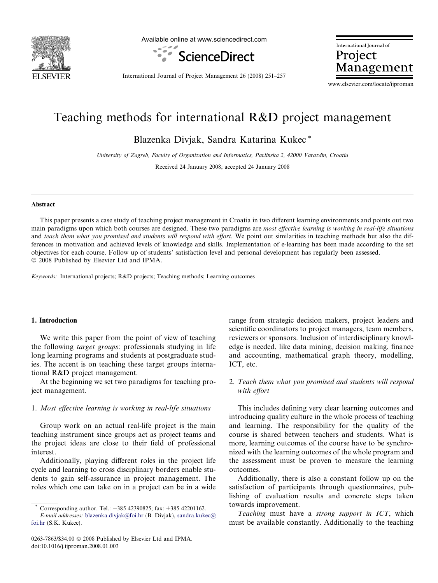

Available online at www.sciencedirect.com



International Journal of Project Management

International Journal of Project Management 26 (2008) 251–257

www.elsevier.com/locate/ijproman

## Teaching methods for international R&D project management

Blazenka Divjak, Sandra Katarina Kukec \*

University of Zagreb, Faculty of Organization and Informatics, Pavlinska 2, 42000 Varazdin, Croatia

Received 24 January 2008; accepted 24 January 2008

#### Abstract

This paper presents a case study of teaching project management in Croatia in two different learning environments and points out two main paradigms upon which both courses are designed. These two paradigms are *most effective learning is working in real-life situations* and teach them what you promised and students will respond with effort. We point out similarities in teaching methods but also the differences in motivation and achieved levels of knowledge and skills. Implementation of e-learning has been made according to the set objectives for each course. Follow up of students' satisfaction level and personal development has regularly been assessed.  $© 2008$  Published by Elsevier Ltd and IPMA.

Keywords: International projects; R&D projects; Teaching methods; Learning outcomes

#### 1. Introduction

We write this paper from the point of view of teaching the following target groups: professionals studying in life long learning programs and students at postgraduate studies. The accent is on teaching these target groups international R&D project management.

At the beginning we set two paradigms for teaching project management.

## 1. Most effective learning is working in real-life situations

Group work on an actual real-life project is the main teaching instrument since groups act as project teams and the project ideas are close to their field of professional interest.

Additionally, playing different roles in the project life cycle and learning to cross disciplinary borders enable students to gain self-assurance in project management. The roles which one can take on in a project can be in a wide range from strategic decision makers, project leaders and scientific coordinators to project managers, team members, reviewers or sponsors. Inclusion of interdisciplinary knowledge is needed, like data mining, decision making, finance and accounting, mathematical graph theory, modelling, ICT, etc.

## 2. Teach them what you promised and students will respond with effort

This includes defining very clear learning outcomes and introducing quality culture in the whole process of teaching and learning. The responsibility for the quality of the course is shared between teachers and students. What is more, learning outcomes of the course have to be synchronized with the learning outcomes of the whole program and the assessment must be proven to measure the learning outcomes.

Additionally, there is also a constant follow up on the satisfaction of participants through questionnaires, publishing of evaluation results and concrete steps taken towards improvement.

Teaching must have a strong support in ICT, which must be available constantly. Additionally to the teaching

Corresponding author. Tel.: +385 42390825; fax: +385 42201162.

E-mail addresses: [blazenka.divjak@foi.hr](mailto:blazenka.divjak@foi.hr) (B. Divjak), [sandra.kukec@](mailto:sandra.kukec@ foi.hr) [foi.hr](mailto:sandra.kukec@ foi.hr) (S.K. Kukec).

<sup>0263-7863/\$34.00 © 2008</sup> Published by Elsevier Ltd and IPMA. doi:10.1016/j.ijproman.2008.01.003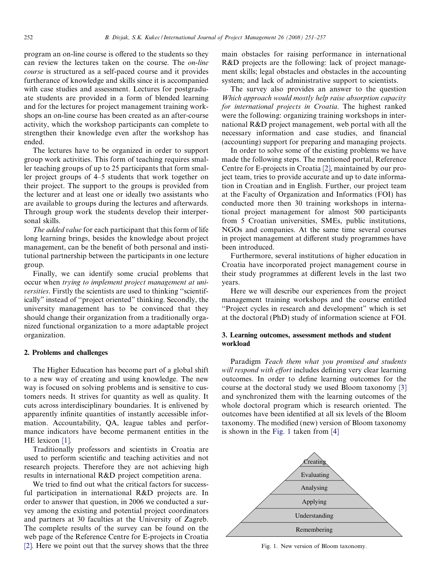program an on-line course is offered to the students so they can review the lectures taken on the course. The on-line course is structured as a self-paced course and it provides furtherance of knowledge and skills since it is accompanied with case studies and assessment. Lectures for postgraduate students are provided in a form of blended learning and for the lectures for project management training workshops an on-line course has been created as an after-course activity, which the workshop participants can complete to strengthen their knowledge even after the workshop has ended.

The lectures have to be organized in order to support group work activities. This form of teaching requires smaller teaching groups of up to 25 participants that form smaller project groups of 4–5 students that work together on their project. The support to the groups is provided from the lecturer and at least one or ideally two assistants who are available to groups during the lectures and afterwards. Through group work the students develop their interpersonal skills.

The added value for each participant that this form of life long learning brings, besides the knowledge about project management, can be the benefit of both personal and institutional partnership between the participants in one lecture group.

Finally, we can identify some crucial problems that occur when trying to implement project management at universities. Firstly the scientists are used to thinking ''scientifically" instead of ''project oriented" thinking. Secondly, the university management has to be convinced that they should change their organization from a traditionally organized functional organization to a more adaptable project organization.

#### 2. Problems and challenges

The Higher Education has become part of a global shift to a new way of creating and using knowledge. The new way is focused on solving problems and is sensitive to customers needs. It strives for quantity as well as quality. It cuts across interdisciplinary boundaries. It is enlivened by apparently infinite quantities of instantly accessible information. Accountability, QA, league tables and performance indicators have become permanent entities in the HE lexicon [\[1\].](#page--1-0)

Traditionally professors and scientists in Croatia are used to perform scientific and teaching activities and not research projects. Therefore they are not achieving high results in international R&D project competition arena.

We tried to find out what the critical factors for successful participation in international R&D projects are. In order to answer that question, in 2006 we conducted a survey among the existing and potential project coordinators and partners at 30 faculties at the University of Zagreb. The complete results of the survey can be found on the web page of the Reference Centre for E-projects in Croatia [\[2\]](#page--1-0). Here we point out that the survey shows that the three

main obstacles for raising performance in international R&D projects are the following: lack of project management skills; legal obstacles and obstacles in the accounting system; and lack of administrative support to scientists.

The survey also provides an answer to the question Which approach would mostly help raise absorption capacity for international projects in Croatia. The highest ranked were the following: organizing training workshops in international R&D project management, web portal with all the necessary information and case studies, and financial (accounting) support for preparing and managing projects.

In order to solve some of the existing problems we have made the following steps. The mentioned portal, Reference Centre for E-projects in Croatia [\[2\]](#page--1-0), maintained by our project team, tries to provide accurate and up to date information in Croatian and in English. Further, our project team at the Faculty of Organization and Informatics (FOI) has conducted more then 30 training workshops in international project management for almost 500 participants from 5 Croatian universities, SMEs, public institutions, NGOs and companies. At the same time several courses in project management at different study programmes have been introduced.

Furthermore, several institutions of higher education in Croatia have incorporated project management course in their study programmes at different levels in the last two years.

Here we will describe our experiences from the project management training workshops and the course entitled ''Project cycles in research and development" which is set at the doctoral (PhD) study of information science at FOI.

### 3. Learning outcomes, assessment methods and student workload

Paradigm Teach them what you promised and students will respond with effort includes defining very clear learning outcomes. In order to define learning outcomes for the course at the doctoral study we used Bloom taxonomy [\[3\]](#page--1-0) and synchronized them with the learning outcomes of the whole doctoral program which is research oriented. The outcomes have been identified at all six levels of the Bloom taxonomy. The modified (new) version of Bloom taxonomy is shown in the Fig. 1 taken from [\[4\]](#page--1-0)



Fig. 1. New version of Bloom taxonomy.